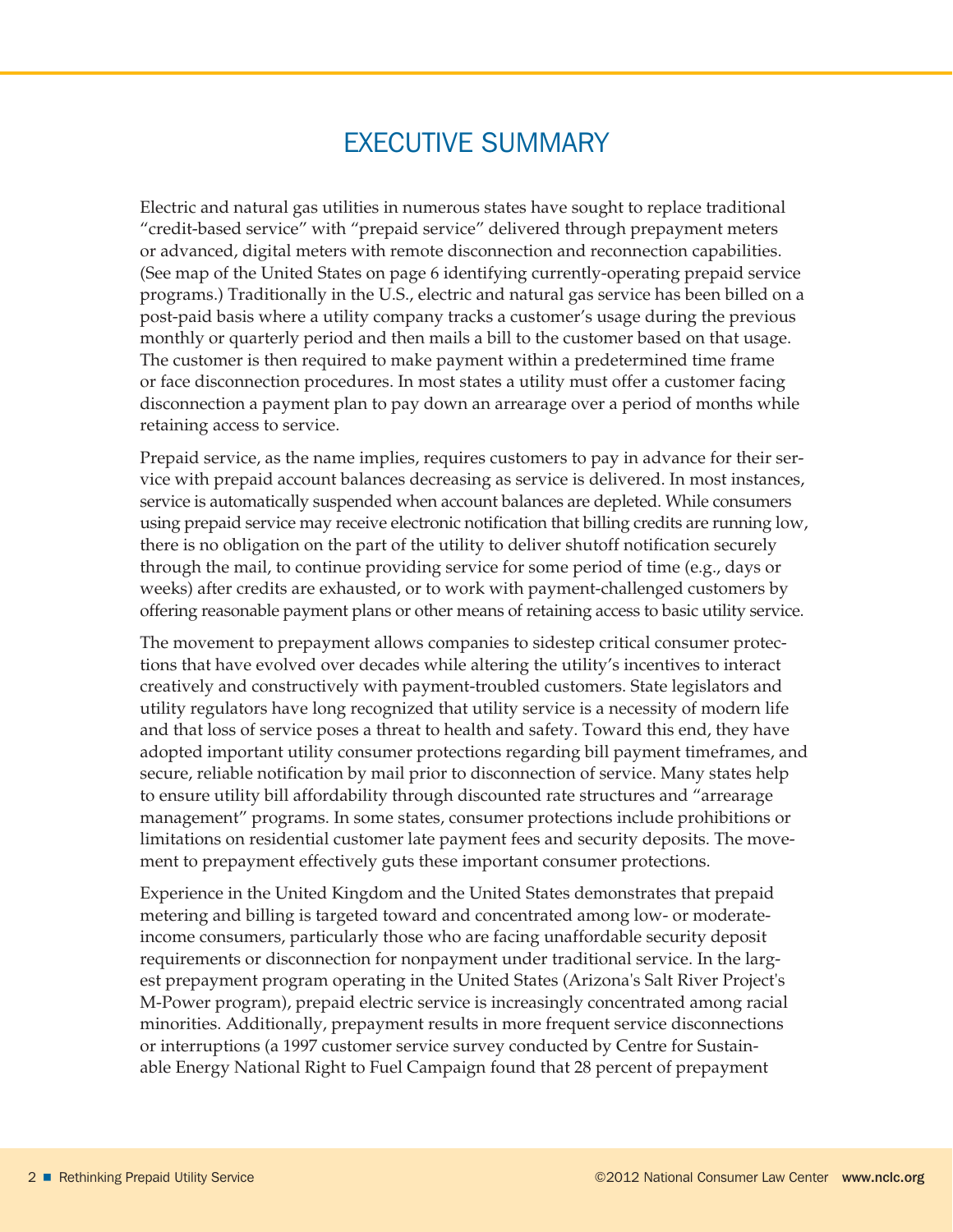## EXECUTIVE summary

Electric and natural gas utilities in numerous states have sought to replace traditional "credit-based service" with "prepaid service" delivered through prepayment meters or advanced, digital meters with remote disconnection and reconnection capabilities. (See map of the United States on page 6 identifying currently-operating prepaid service programs.) Traditionally in the U.S., electric and natural gas service has been billed on a post-paid basis where a utility company tracks a customer's usage during the previous monthly or quarterly period and then mails a bill to the customer based on that usage. The customer is then required to make payment within a predetermined time frame or face disconnection procedures. In most states a utility must offer a customer facing disconnection a payment plan to pay down an arrearage over a period of months while retaining access to service.

Prepaid service, as the name implies, requires customers to pay in advance for their service with prepaid account balances decreasing as service is delivered. In most instances, service is automatically suspended when account balances are depleted. While consumers using prepaid service may receive electronic notification that billing credits are running low, there is no obligation on the part of the utility to deliver shutoff notification securely through the mail, to continue providing service for some period of time (e.g., days or weeks) after credits are exhausted, or to work with payment-challenged customers by offering reasonable payment plans or other means of retaining access to basic utility service.

The movement to prepayment allows companies to sidestep critical consumer protections that have evolved over decades while altering the utility's incentives to interact creatively and constructively with payment-troubled customers. State legislators and utility regulators have long recognized that utility service is a necessity of modern life and that loss of service poses a threat to health and safety. Toward this end, they have adopted important utility consumer protections regarding bill payment timeframes, and secure, reliable notification by mail prior to disconnection of service. Many states help to ensure utility bill affordability through discounted rate structures and "arrearage management" programs. In some states, consumer protections include prohibitions or limitations on residential customer late payment fees and security deposits. The movement to prepayment effectively guts these important consumer protections.

Experience in the United Kingdom and the United States demonstrates that prepaid metering and billing is targeted toward and concentrated among low- or moderateincome consumers, particularly those who are facing unaffordable security deposit requirements or disconnection for nonpayment under traditional service. In the largest prepayment program operating in the United States (Arizona's Salt River Project's M-Power program), prepaid electric service is increasingly concentrated among racial minorities. Additionally, prepayment results in more frequent service disconnections or interruptions (a 1997 customer service survey conducted by Centre for Sustainable Energy National Right to Fuel Campaign found that 28 percent of prepayment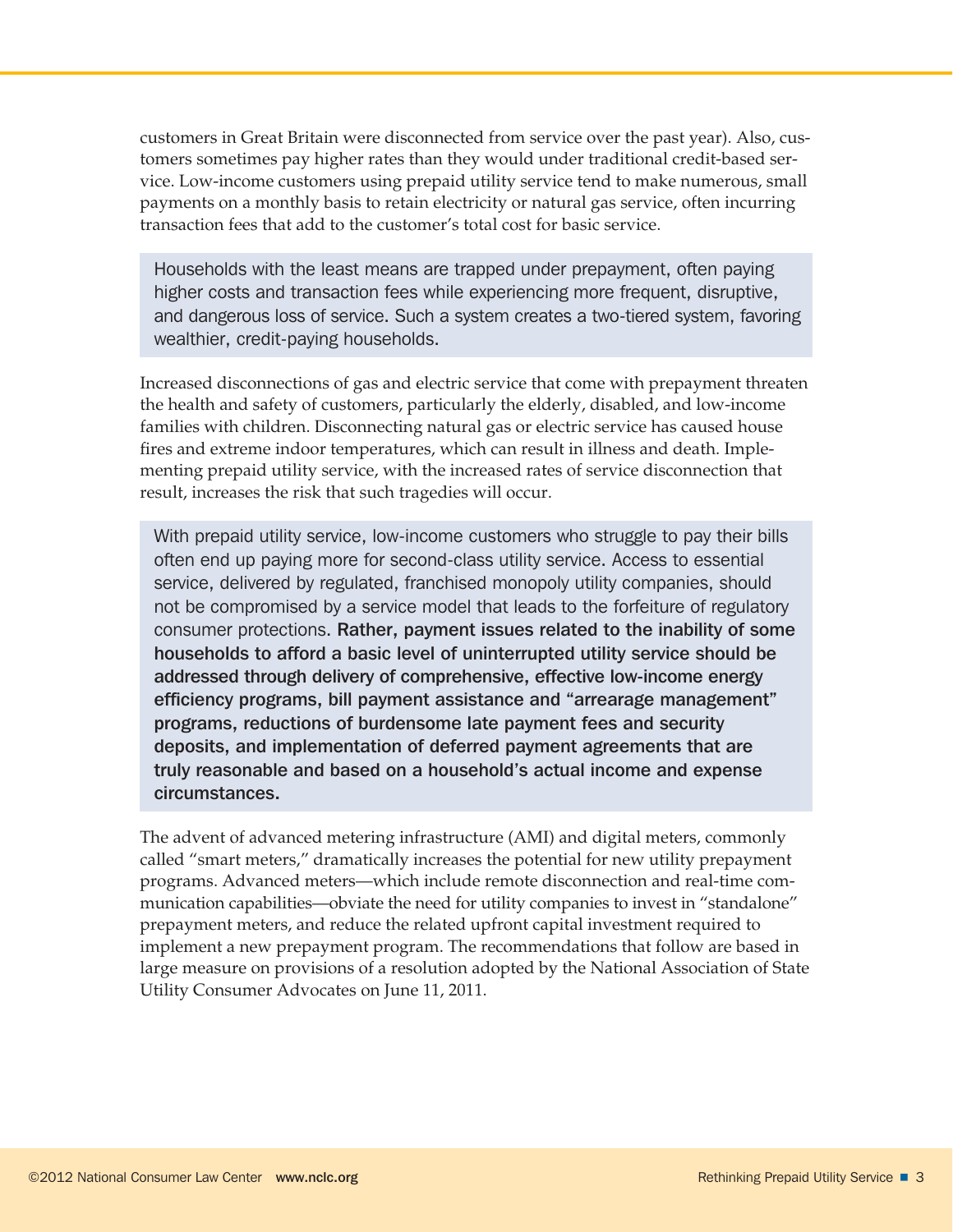customers in Great Britain were disconnected from service over the past year). Also, customers sometimes pay higher rates than they would under traditional credit-based service. Low-income customers using prepaid utility service tend to make numerous, small payments on a monthly basis to retain electricity or natural gas service, often incurring transaction fees that add to the customer's total cost for basic service.

Households with the least means are trapped under prepayment, often paying higher costs and transaction fees while experiencing more frequent, disruptive, and dangerous loss of service. Such a system creates a two-tiered system, favoring wealthier, credit-paying households.

Increased disconnections of gas and electric service that come with prepayment threaten the health and safety of customers, particularly the elderly, disabled, and low-income families with children. Disconnecting natural gas or electric service has caused house fires and extreme indoor temperatures, which can result in illness and death. Implementing prepaid utility service, with the increased rates of service disconnection that result, increases the risk that such tragedies will occur.

With prepaid utility service, low-income customers who struggle to pay their bills often end up paying more for second-class utility service. Access to essential service, delivered by regulated, franchised monopoly utility companies, should not be compromised by a service model that leads to the forfeiture of regulatory consumer protections. Rather, payment issues related to the inability of some households to afford a basic level of uninterrupted utility service should be addressed through delivery of comprehensive, effective low-income energy efficiency programs, bill payment assistance and "arrearage management" programs, reductions of burdensome late payment fees and security deposits, and implementation of deferred payment agreements that are truly reasonable and based on a household's actual income and expense circumstances.

The advent of advanced metering infrastructure (AMI) and digital meters, commonly called "smart meters," dramatically increases the potential for new utility prepayment programs. Advanced meters—which include remote disconnection and real-time communication capabilities—obviate the need for utility companies to invest in "standalone" prepayment meters, and reduce the related upfront capital investment required to implement a new prepayment program. The recommendations that follow are based in large measure on provisions of a resolution adopted by the National Association of State Utility Consumer Advocates on June 11, 2011.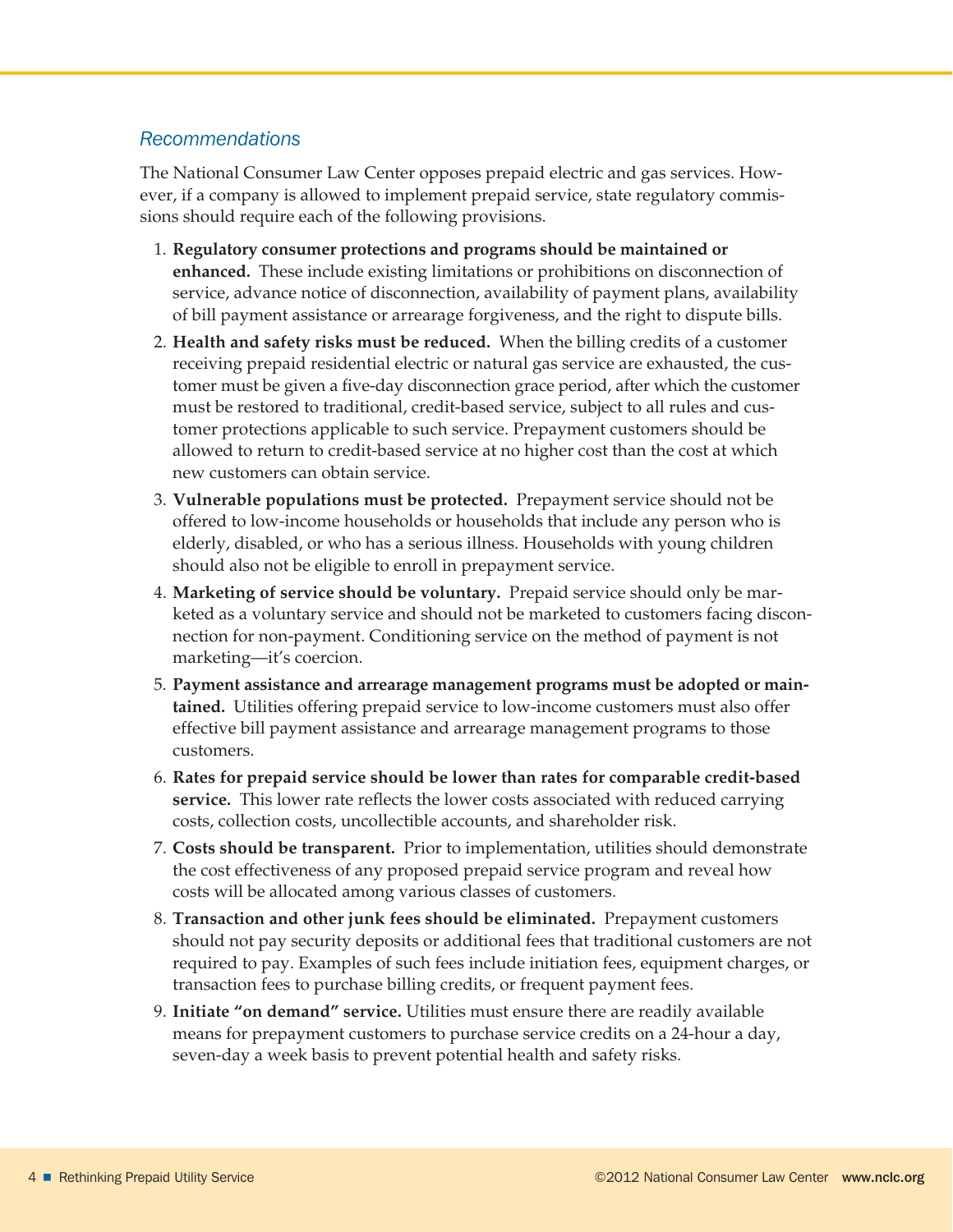## *Recommendations*

The National Consumer Law Center opposes prepaid electric and gas services. However, if a company is allowed to implement prepaid service, state regulatory commissions should require each of the following provisions.

- 1. **Regulatory consumer protections and programs should be maintained or enhanced.** These include existing limitations or prohibitions on disconnection of service, advance notice of disconnection, availability of payment plans, availability of bill payment assistance or arrearage forgiveness, and the right to dispute bills.
- 2. **Health and safety risks must be reduced.** When the billing credits of a customer receiving prepaid residential electric or natural gas service are exhausted, the customer must be given a five-day disconnection grace period, after which the customer must be restored to traditional, credit-based service, subject to all rules and customer protections applicable to such service. Prepayment customers should be allowed to return to credit-based service at no higher cost than the cost at which new customers can obtain service.
- 3. **Vulnerable populations must be protected.** Prepayment service should not be offered to low-income households or households that include any person who is elderly, disabled, or who has a serious illness. Households with young children should also not be eligible to enroll in prepayment service.
- 4. **Marketing of service should be voluntary.** Prepaid service should only be marketed as a voluntary service and should not be marketed to customers facing disconnection for non-payment. Conditioning service on the method of payment is not marketing—it's coercion.
- 5. **Payment assistance and arrearage management programs must be adopted or maintained.** Utilities offering prepaid service to low-income customers must also offer effective bill payment assistance and arrearage management programs to those customers.
- 6. **Rates for prepaid service should be lower than rates for comparable credit-based service.** This lower rate reflects the lower costs associated with reduced carrying costs, collection costs, uncollectible accounts, and shareholder risk.
- 7. **Costs should be transparent.** Prior to implementation, utilities should demonstrate the cost effectiveness of any proposed prepaid service program and reveal how costs will be allocated among various classes of customers.
- 8. **Transaction and other junk fees should be eliminated.** Prepayment customers should not pay security deposits or additional fees that traditional customers are not required to pay. Examples of such fees include initiation fees, equipment charges, or transaction fees to purchase billing credits, or frequent payment fees.
- 9. **Initiate "on demand" service.** Utilities must ensure there are readily available means for prepayment customers to purchase service credits on a 24-hour a day, seven-day a week basis to prevent potential health and safety risks.